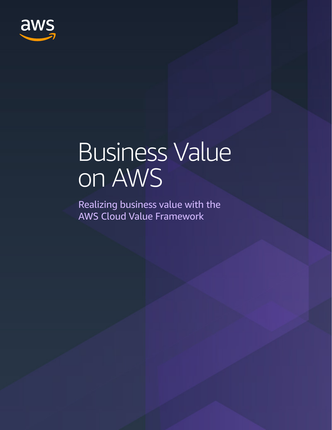

# Business Value on AWS

Realizing business value with the AWS Cloud Value Framework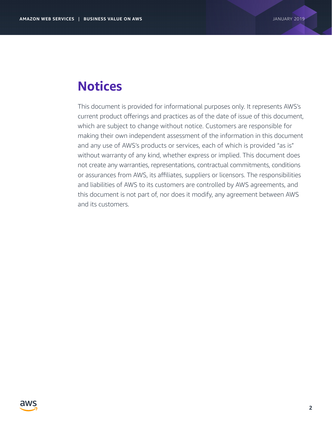## **Notices**

This document is provided for informational purposes only. It represents AWS's current product offerings and practices as of the date of issue of this document, which are subject to change without notice. Customers are responsible for making their own independent assessment of the information in this document and any use of AWS's products or services, each of which is provided "as is" without warranty of any kind, whether express or implied. This document does not create any warranties, representations, contractual commitments, conditions or assurances from AWS, its affiliates, suppliers or licensors. The responsibilities and liabilities of AWS to its customers are controlled by AWS agreements, and this document is not part of, nor does it modify, any agreement between AWS and its customers.

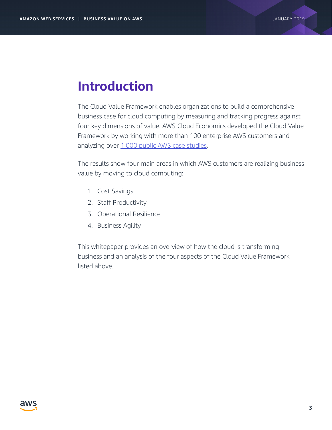# **Introduction**

The Cloud Value Framework enables organizations to build a comprehensive business case for cloud computing by measuring and tracking progress against four key dimensions of value. AWS Cloud Economics developed the Cloud Value Framework by working with more than 100 enterprise AWS customers and analyzing over [1,000 public AWS case studies](https://aws.amazon.com/solutions/case-studies/all/).

The results show four main areas in which AWS customers are realizing business value by moving to cloud computing:

- 1. Cost Savings
- 2. Staff Productivity
- 3. Operational Resilience
- 4. Business Agility

This whitepaper provides an overview of how the cloud is transforming business and an analysis of the four aspects of the Cloud Value Framework listed above.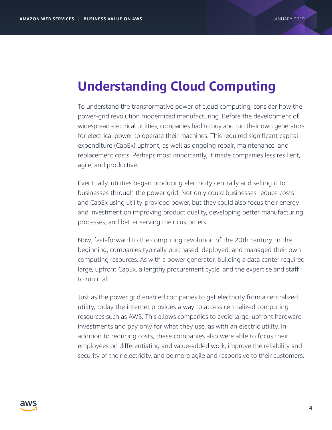## **Understanding Cloud Computing**

To understand the transformative power of cloud computing, consider how the power-grid revolution modernized manufacturing. Before the development of widespread electrical utilities, companies had to buy and run their own generators for electrical power to operate their machines. This required significant capital expenditure (CapEx) upfront, as well as ongoing repair, maintenance, and replacement costs. Perhaps most importantly, it made companies less resilient, agile, and productive.

Eventually, utilities began producing electricity centrally and selling it to businesses through the power grid. Not only could businesses reduce costs and CapEx using utility-provided power, but they could also focus their energy and investment on improving product quality, developing better manufacturing processes, and better serving their customers.

Now, fast-forward to the computing revolution of the 20th century. In the beginning, companies typically purchased, deployed, and managed their own computing resources. As with a power generator, building a data center required large, upfront CapEx, a lengthy procurement cycle, and the expertise and staff to run it all.

Just as the power grid enabled companies to get electricity from a centralized utility, today the internet provides a way to access centralized computing resources such as AWS. This allows companies to avoid large, upfront hardware investments and pay only for what they use, as with an electric utility. In addition to reducing costs, these companies also were able to focus their employees on differentiating and value-added work, improve the reliability and security of their electricity, and be more agile and responsive to their customers.

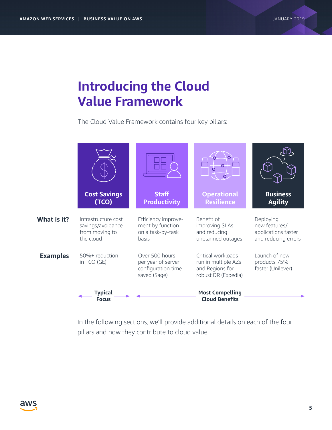# **Introducing the Cloud Value Framework**

The Cloud Value Framework contains four key pillars:



In the following sections, we'll provide additional details on each of the four pillars and how they contribute to cloud value.

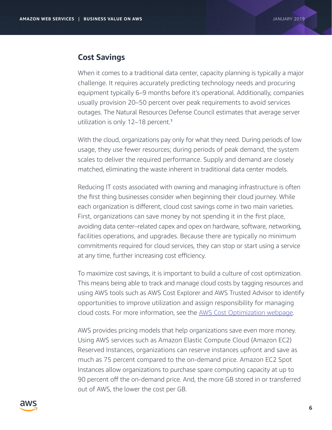#### **Cost Savings**

When it comes to a traditional data center, capacity planning is typically a major challenge. It requires accurately predicting technology needs and procuring equipment typically 6–9 months before it's operational. Additionally, companies usually provision 20–50 percent over peak requirements to avoid services [outages. The Natural Resources Defense Council estimates that average server](https://www.nrdc.org/sites/default/files/data-center-efficiency-assessment-IP.pdf)  utilization is only 12-18 percent.<sup>1</sup>

With the cloud, organizations pay only for what they need. During periods of low usage, they use fewer resources; during periods of peak demand, the system scales to deliver the required performance. Supply and demand are closely matched, eliminating the waste inherent in traditional data center models.

Reducing IT costs associated with owning and managing infrastructure is often the first thing businesses consider when beginning their cloud journey. While each organization is different, cloud cost savings come in two main varieties. First, organizations can save money by not spending it in the first place, avoiding data center–related capex and opex on hardware, software, networking, facilities operations, and upgrades. Because there are typically no minimum commitments required for cloud services, they can stop or start using a service at any time, further increasing cost efficiency.

To maximize cost savings, it is important to build a culture of cost optimization. This means being able to track and manage cloud costs by tagging resources and using AWS tools such as AWS Cost Explorer and AWS Trusted Advisor to identify opportunities to improve utilization and assign responsibility for managing cloud costs. For more information, see the [AWS Cost Optimization webpage](https://aws.amazon.com/pricing/cost-optimization/).

AWS provides pricing models that help organizations save even more money. Using AWS services such as Amazon Elastic Compute Cloud (Amazon EC2) Reserved Instances, organizations can reserve instances upfront and save as much as 75 percent compared to the on-demand price. Amazon EC2 Spot Instances allow organizations to purchase spare computing capacity at up to 90 percent off the on-demand price. And, the more GB stored in or transferred out of AWS, the lower the cost per GB.

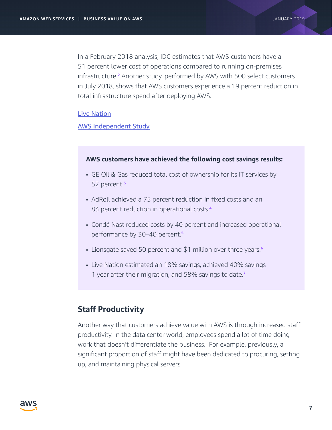In a February 2018 analysis, IDC estimates that AWS customers have a [51 percent lower cost of operations compared to running on-premises](https://pages.awscloud.com/Global_IDC_Enterprise_Whitepaper.html)  infrastructure.<sup>2</sup> Another study, performed by AWS with 500 select customers in July 2018, shows that AWS customers experience a 19 percent reduction in total infrastructure spend after deploying AWS.

#### [Live Nation](https://aws.amazon.com/blogs/media/me-value-realization-study-live-nation-estimated-18-cost-savings-with-awstheir-result-58)

[AWS Independent Study](https://aws.amazon.com/enterprise/executive-insights/content/realizing-business-value-with-aws)

#### **AWS customers have achieved the following cost savings results:**

- [GE Oil & Gas reduced total cost of ownership for its IT services by](https://aws.amazon.com/solutions/case-studies/ge-oil-gas)  52 percent.<sup>3</sup>
- [AdRoll achieved a 75 percent reduction in fixed costs and an](https://aws.amazon.com/solutions/case-studies/adroll-tco)  83 percent reduction in operational costs.<sup>4</sup>
- [Condé Nast reduced costs by 40 percent and increased operational](https://aws.amazon.com/solutions/case-studies/conde-nast)  performance by 30-40 percent.<sup>5</sup>
- [Lionsgate saved 50 percent and \\$1 million over three years.](https://aws.amazon.com/solutions/case-studies/lionsgate)<sup>6</sup>
- [Live Nation estimated an 18% savings, achieved 40% savings](https://aws.amazon.com/blogs/media/me-value-realization-study-live-nation-estimated-18-cost-savings-with-awstheir-result-58)  1 year after their migration, and 58% savings to date.<sup>7</sup>

### **Staff Productivity**

Another way that customers achieve value with AWS is through increased staff productivity. In the data center world, employees spend a lot of time doing work that doesn't differentiate the business. For example, previously, a significant proportion of staff might have been dedicated to procuring, setting up, and maintaining physical servers.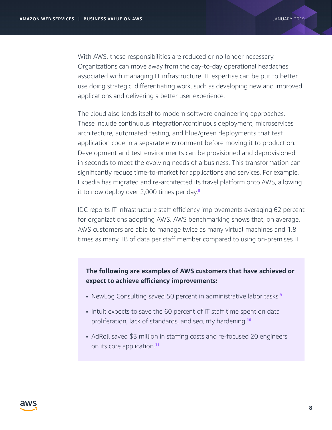With AWS, these responsibilities are reduced or no longer necessary. Organizations can move away from the day-to-day operational headaches associated with managing IT infrastructure. IT expertise can be put to better use doing strategic, differentiating work, such as developing new and improved applications and delivering a better user experience.

The cloud also lends itself to modern software engineering approaches. These include continuous integration/continuous deployment, microservices architecture, automated testing, and blue/green deployments that test application code in a separate environment before moving it to production. Development and test environments can be provisioned and deprovisioned in seconds to meet the evolving needs of a business. This transformation can significantly reduce time-to-market for applications and services. For example, [Expedia has migrated and re-architected its travel platform onto AWS, allowing](https://aws.amazon.com/solutions/case-studies/expedia)  it to now deploy over 2,000 times per day. $8$ 

IDC reports IT infrastructure staff efficiency improvements averaging 62 percent for organizations adopting AWS. AWS benchmarking shows that, on average, AWS customers are able to manage twice as many virtual machines and 1.8 times as many TB of data per staff member compared to using on-premises IT.

### **The following are examples of AWS customers that have achieved or expect to achieve efficiency improvements:**

- [NewLog Consulting saved 50 percent in administrative labor tasks.](https://aws.amazon.com/solutions/case-studies/newlog-consulting)<sup>9</sup>
- [Intuit expects to save the 60 percent of IT staff time spent on data](https://aws.amazon.com/solutions/case-studies/intuit-cloud-migration)  proliferation, lack of standards, and security hardening.<sup>10</sup>
- [AdRoll saved \\$3 million in staffing costs and re-focused 20 engineers](https://aws.amazon.com/solutions/case-studies/adroll)  on its core application.<sup>11</sup>

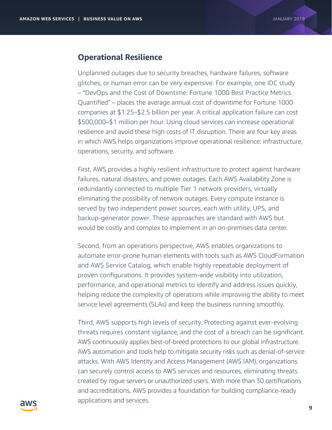#### **Operational Resilience**

Unplanned outages due to security breaches, hardware failures, software glitches, or human error can be very expensive. For example, one IDC study – "DevOps and the Cost of Downtime: Fortune 1000 Best Practice Metrics Quantified" – places the average annual cost of downtime for Fortune 1000 companies at \$1.25–\$2.5 billion per year. A critical application failure can cost \$500,000–\$1 million per hour. Using cloud services can increase operational resilience and avoid these high costs of IT disruption. There are four key areas in which AWS helps organizations improve operational resilience: infrastructure, operations, security, and software.

First, AWS provides a highly resilient infrastructure to protect against hardware failures, natural disasters, and power outages. Each AWS Availability Zone is redundantly connected to multiple Tier 1 network providers, virtually eliminating the possibility of network outages. Every compute instance is served by two independent power sources, each with utility, UPS, and backup-generator power. These approaches are standard with AWS but would be costly and complex to implement in an on-premises data center.

Second, from an operations perspective, AWS enables organizations to automate error-prone human elements with tools such as AWS CloudFormation and AWS Service Catalog, which enable highly repeatable deployment of proven configurations. It provides system-wide visibility into utilization, performance, and operational metrics to identify and address issues quickly, helping reduce the complexity of operations while improving the ability to meet service level agreements (SLAs) and keep the business running smoothly.

Third, AWS supports high levels of security. Protecting against ever-evolving threats requires constant vigilance, and the cost of a breach can be significant. AWS continuously applies best-of-breed protections to our global infrastructure. AWS automation and tools help to mitigate security risks such as denial-of-service attacks. With AWS Identity and Access Management (AWS IAM), organizations can securely control access to AWS services and resources, eliminating threats created by rogue servers or unauthorized users. With more than 30 certifications and accreditations, AWS provides a foundation for building compliance-ready applications and services.

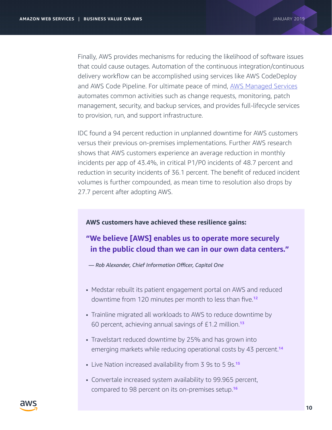Finally, AWS provides mechanisms for reducing the likelihood of software issues that could cause outages. Automation of the continuous integration/continuous delivery workflow can be accomplished using services like AWS CodeDeploy and AWS Code Pipeline. For ultimate peace of mind, [AWS Managed Services](https://aws.amazon.com/managed-services/) automates common activities such as change requests, monitoring, patch management, security, and backup services, and provides full-lifecycle services to provision, run, and support infrastructure.

IDC found a 94 percent reduction in unplanned downtime for AWS customers versus their previous on-premises implementations. Further AWS research shows that AWS customers experience an average reduction in monthly incidents per app of 43.4%, in critical P1/P0 incidents of 48.7 percent and reduction in security incidents of 36.1 percent. The benefit of reduced incident volumes is further compounded, as mean time to resolution also drops by 27.7 percent after adopting AWS.

#### **AWS customers have achieved these resilience gains:**

### **"We believe [AWS] enables us to operate more securely in the public cloud than we can in our own data centers."**

*— Rob Alexander, Chief Information Officer, Capital One*

- [Medstar rebuilt its patient engagement portal on AWS and reduced](https://aws.amazon.com/solutions/case-studies/medstar-health)  downtime from 120 minutes per month to less than five.<sup>12</sup>
- [Trainline migrated all workloads to AWS to reduce downtime by](https://aws.amazon.com/solutions/case-studies/trainline)  60 percent, achieving annual savings of  $£1.2$  million.<sup>13</sup>
- Travelstart reduced downtime by 25% and has grown into [emerging markets while reducing operational costs by 43 percent.](https://aws.amazon.com/solutions/case-studies/travelstart)<sup>14</sup>
- [Live Nation increased availability from 3 9s to 5 9s.](https://aws.amazon.com/blogs/media/me-value-realization-study-live-nation-estimated-18-cost-savings-with-awstheir-result-58)<sup>15</sup>
- [Convertale increased system availability to 99.965 percent,](https://aws.amazon.com/solutions/case-studies/convertale)  compared to 98 percent on its on-premises setup.16

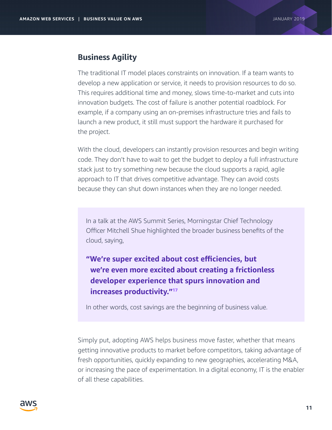#### **Business Agility**

The traditional IT model places constraints on innovation. If a team wants to develop a new application or service, it needs to provision resources to do so. This requires additional time and money, slows time-to-market and cuts into innovation budgets. The cost of failure is another potential roadblock. For example, if a company using an on-premises infrastructure tries and fails to launch a new product, it still must support the hardware it purchased for the project.

With the cloud, developers can instantly provision resources and begin writing code. They don't have to wait to get the budget to deploy a full infrastructure stack just to try something new because the cloud supports a rapid, agile approach to IT that drives competitive advantage. They can avoid costs because they can shut down instances when they are no longer needed.

In a talk at the AWS Summit Series, Morningstar Chief Technology Officer Mitchell Shue highlighted the broader business benefits of the cloud, saying,

### **"We're super excited about cost efficiencies, but [we're even more excited about creating a frictionless](https://www.youtube.com/watch?v=vhNvhJGOhSw&ab_channel=AmazonWebServices)  developer experience that spurs innovation and increases productivity."**<sup>17</sup>

In other words, cost savings are the beginning of business value.

Simply put, adopting AWS helps business move faster, whether that means getting innovative products to market before competitors, taking advantage of fresh opportunities, quickly expanding to new geographies, accelerating M&A, or increasing the pace of experimentation. In a digital economy, IT is the enabler of all these capabilities.

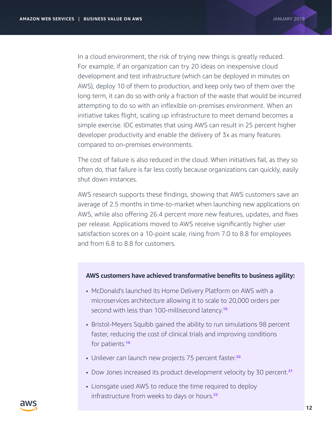In a cloud environment, the risk of trying new things is greatly reduced. For example, if an organization can try 20 ideas on inexpensive cloud development and test infrastructure (which can be deployed in minutes on AWS), deploy 10 of them to production, and keep only two of them over the long term, it can do so with only a fraction of the waste that would be incurred attempting to do so with an inflexible on-premises environment. When an initiative takes flight, scaling up infrastructure to meet demand becomes a simple exercise. IDC estimates that using AWS can result in 25 percent higher developer productivity and enable the delivery of 3x as many features compared to on-premises environments.

The cost of failure is also reduced in the cloud. When initiatives fail, as they so often do, that failure is far less costly because organizations can quickly, easily shut down instances.

AWS research supports these findings, showing that AWS customers save an average of 2.5 months in time-to-market when launching new applications on AWS, while also offering 26.4 percent more new features, updates, and fixes per release. Applications moved to AWS receive significantly higher user satisfaction scores on a 10-point scale, rising from 7.0 to 8.8 for employees and from 6.8 to 8.8 for customers.

#### **AWS customers have achieved transformative benefits to business agility:**

- McDonald's launched its Home Delivery Platform on AWS with a [microservices architecture allowing it to scale to 20,000 orders per](https://aws.amazon.com/solutions/case-studies/mcdonalds-home-delivery)  second with less than 100-millisecond latency.<sup>18</sup>
- [Bristol-Meyers Squibb gained the ability to run simulations 98 percent](https://aws.amazon.com/solutions/case-studies/bristol-myers-squibb)  faster, reducing the cost of clinical trials and improving conditions for patients.<sup>19</sup>
- [Unilever can launch new projects 75 percent faster.](https://aws.amazon.com/solutions/case-studies/unilever)<sup>20</sup>
- [Dow Jones increased its product development velocity by 30 percent.](https://aws.amazon.com/solutions/case-studies/dow-jones)<sup>21</sup>
- [Lionsgate used AWS to reduce the time required to deploy](https://aws.amazon.com/solutions/case-studies/lionsgate)  infrastructure from weeks to days or hours.<sup>22</sup>

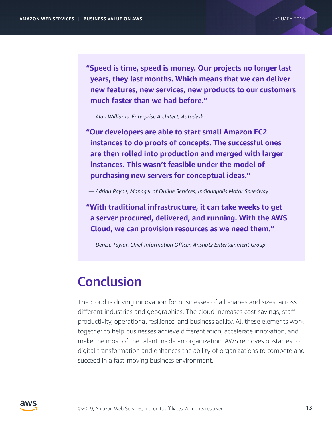**"Speed is time, speed is money. Our projects no longer last years, they last months. Which means that we can deliver new features, new services, new products to our customers much faster than we had before."**

*— Alan Williams, Enterprise Architect, Autodesk*

**"Our developers are able to start small Amazon EC2 instances to do proofs of concepts. The successful ones are then rolled into production and merged with larger instances. This wasn't feasible under the model of purchasing new servers for conceptual ideas."**

*— Adrian Payne, Manager of Online Services, Indianapolis Motor Speedway*

**"With traditional infrastructure, it can take weeks to get a server procured, delivered, and running. With the AWS Cloud, we can provision resources as we need them."**

*— Denise Taylor, Chief Information Officer, Anshutz Entertainment Group*

# Conclusion

The cloud is driving innovation for businesses of all shapes and sizes, across different industries and geographies. The cloud increases cost savings, staff productivity, operational resilience, and business agility. All these elements work together to help businesses achieve differentiation, accelerate innovation, and make the most of the talent inside an organization. AWS removes obstacles to digital transformation and enhances the ability of organizations to compete and succeed in a fast-moving business environment.